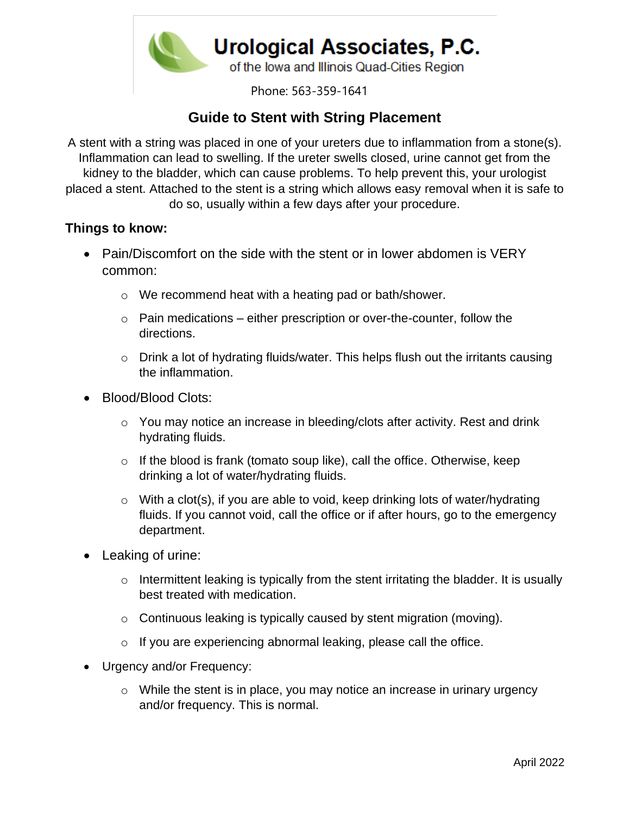

Phone: 563-359-1641

## **Guide to Stent with String Placement**

A stent with a string was placed in one of your ureters due to inflammation from a stone(s). Inflammation can lead to swelling. If the ureter swells closed, urine cannot get from the kidney to the bladder, which can cause problems. To help prevent this, your urologist placed a stent. Attached to the stent is a string which allows easy removal when it is safe to do so, usually within a few days after your procedure.

## **Things to know:**

- Pain/Discomfort on the side with the stent or in lower abdomen is VERY common:
	- o We recommend heat with a heating pad or bath/shower.
	- $\circ$  Pain medications either prescription or over-the-counter, follow the directions.
	- $\circ$  Drink a lot of hydrating fluids/water. This helps flush out the irritants causing the inflammation.
- Blood/Blood Clots:
	- o You may notice an increase in bleeding/clots after activity. Rest and drink hydrating fluids.
	- $\circ$  If the blood is frank (tomato soup like), call the office. Otherwise, keep drinking a lot of water/hydrating fluids.
	- $\circ$  With a clot(s), if you are able to void, keep drinking lots of water/hydrating fluids. If you cannot void, call the office or if after hours, go to the emergency department.
- Leaking of urine:
	- $\circ$  Intermittent leaking is typically from the stent irritating the bladder. It is usually best treated with medication.
	- o Continuous leaking is typically caused by stent migration (moving).
	- $\circ$  If you are experiencing abnormal leaking, please call the office.
- Urgency and/or Frequency:
	- o While the stent is in place, you may notice an increase in urinary urgency and/or frequency. This is normal.